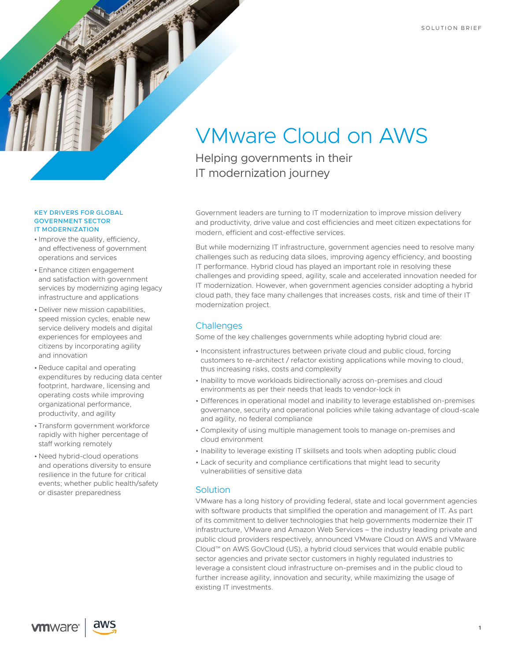

#### KEY DRIVERS FOR GLOBAL GOVERNMENT SECTOR IT MODERNIZATION

- Improve the quality, efficiency, and effectiveness of government operations and services
- Enhance citizen engagement and satisfaction with government services by modernizing aging legacy infrastructure and applications
- Deliver new mission capabilities, speed mission cycles, enable new service delivery models and digital experiences for employees and citizens by incorporating agility and innovation
- •Reduce capital and operating expenditures by reducing data center footprint, hardware, licensing and operating costs while improving organizational performance, productivity, and agility
- Transform government workforce rapidly with higher percentage of staff working remotely
- Need hybrid-cloud operations and operations diversity to ensure resilience in the future for critical events; whether public health/safety or disaster preparedness

# VMware Cloud on AWS

Helping governments in their IT modernization journey

Government leaders are turning to IT modernization to improve mission delivery and productivity, drive value and cost efficiencies and meet citizen expectations for modern, efficient and cost-effective services.

But while modernizing IT infrastructure, government agencies need to resolve many challenges such as reducing data siloes, improving agency efficiency, and boosting IT performance. Hybrid cloud has played an important role in resolving these challenges and providing speed, agility, scale and accelerated innovation needed for IT modernization. However, when government agencies consider adopting a hybrid cloud path, they face many challenges that increases costs, risk and time of their IT modernization project.

## **Challenges**

Some of the key challenges governments while adopting hybrid cloud are:

- Inconsistent infrastructures between private cloud and public cloud, forcing customers to re-architect / refactor existing applications while moving to cloud, thus increasing risks, costs and complexity
- Inability to move workloads bidirectionally across on-premises and cloud environments as per their needs that leads to vendor-lock in
- Differences in operational model and inability to leverage established on-premises governance, security and operational policies while taking advantage of cloud-scale and agility, no federal compliance
- Complexity of using multiple management tools to manage on-premises and cloud environment
- Inability to leverage existing IT skillsets and tools when adopting public cloud
- Lack of security and compliance certifications that might lead to security vulnerabilities of sensitive data

## **Solution**

VMware has a long history of providing federal, state and local government agencies with software products that simplified the operation and management of IT. As part of its commitment to deliver technologies that help governments modernize their IT infrastructure, VMware and Amazon Web Services – the industry leading private and public cloud providers respectively, announced VMware Cloud on AWS and VMware Cloud™ on AWS GovCloud (US), a hybrid cloud services that would enable public sector agencies and private sector customers in highly regulated industries to leverage a consistent cloud infrastructure on-premises and in the public cloud to further increase agility, innovation and security, while maximizing the usage of existing IT investments.

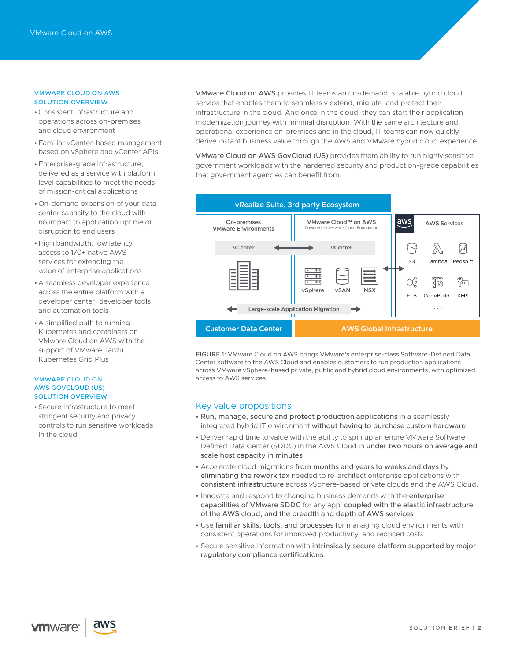### VMWARE CLOUD ON AWS SOLUTION OVERVIEW

- •Consistent infrastructure and operations across on-premises and cloud environment
- Familiar vCenter-based management based on vSphere and vCenter APIs
- Enterprise-grade infrastructure, delivered as a service with platform level capabilities to meet the needs of mission-critical applications
- On-demand expansion of your data center capacity to the cloud with no impact to application uptime or disruption to end users
- High bandwidth, low latency access to 170+ native AWS services for extending the value of enterprise applications
- A seamless developer experience across the entire platform with a developer center, developer tools, and automation tools
- A simplified path to running Kubernetes and containers on VMware Cloud on AWS with the support of VMware Tanzu Kubernetes Grid Plus

## VMWARE CLOUD ON AWS GOVCLOUD (US) SOLUTION OVERVIEW

• Secure infrastructure to meet stringent security and privacy controls to run sensitive workloads in the cloud

VMware Cloud on AWS provides IT teams an on-demand, scalable hybrid cloud service that enables them to seamlessly extend, migrate, and protect their infrastructure in the cloud. And once in the cloud, they can start their application modernization journey with minimal disruption. With the same architecture and operational experience on-premises and in the cloud, IT teams can now quickly derive instant business value through the AWS and VMware hybrid cloud experience.

VMware Cloud on AWS GovCloud (US) provides them ability to run highly sensitive government workloads with the hardened security and production-grade capabilities that government agencies can benefit from.



FIGURE 1: VMware Cloud on AWS brings VMware's enterprise-class Software-Defined Data Center software to the AWS Cloud and enables customers to run production applications across VMware vSphere-based private, public and hybrid cloud environments, with optimized access to AWS services.

## Key value propositions

- Run, manage, secure and protect production applications in a seamlessly integrated hybrid IT environment without having to purchase custom hardware
- Deliver rapid time to value with the ability to spin up an entire VMware Software Defined Data Center (SDDC) in the AWS Cloud in under two hours on average and scale host capacity in minutes
- Accelerate cloud migrations from months and years to weeks and days by eliminating the rework tax needed to re-architect enterprise applications with consistent infrastructure across vSphere-based private clouds and the AWS Cloud.
- Innovate and respond to changing business demands with the enterprise capabilities of VMware SDDC for any app, coupled with the elastic infrastructure of the AWS cloud, and the breadth and depth of AWS services
- Use familiar skills, tools, and processes for managing cloud environments with consistent operations for improved productivity, and reduced costs
- Secure sensitive information with intrinsically secure platform supported by major regulatory compliance certifications. 1

**vm**ware<sup>®</sup>

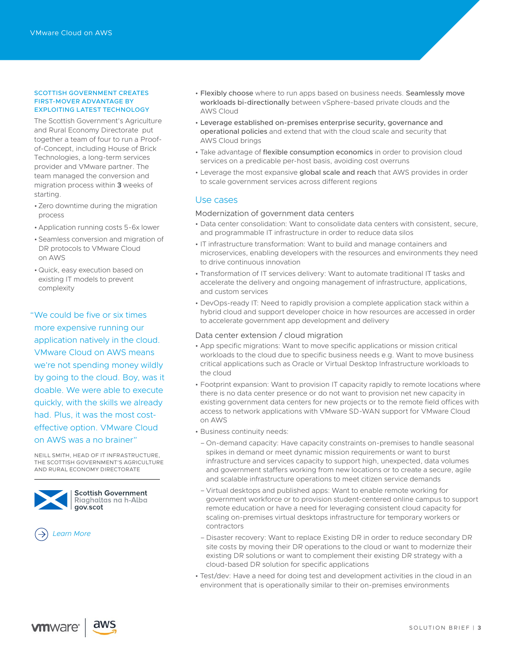#### SCOTTISH GOVERNMENT CREATES FIRST-MOVER ADVANTAGE BY EXPLOITING LATEST TECHNOLOGY

The Scottish Government's Agriculture and Rural Economy Directorate put together a team of four to run a Proofof-Concept, including House of Brick Technologies, a long-term services provider and VMware partner. The team managed the conversion and migration process within **3** weeks of starting.

- Zero downtime during the migration process
- Application running costs 5-6x lower
- Seamless conversion and migration of DR protocols to VMware Cloud on AWS
- Quick, easy execution based on existing IT models to prevent complexit[y](https://assets.contentstack.io/v3/assets/blt58b49a8a0e43b5ff/blt4e0e87aa6fe7a92e/5ed940d6bf4ae52c761ecd29/VMC_TEI_Spotlight_-_West_Windsor-Plainsboro.pdf)

"We could be five or six times more expensive running our application natively in the cloud. VMware Cloud on AWS means we're not spending money wildly by going to the cloud. Boy, was it doable. We were able to execute quickly, with the skills we already had. Plus, it was the most costeffective option. VMware Cloud on AWS was a no brainer"

NEILL SMITH, HEAD OF IT INFRASTRUCTURE, THE SCOTTISH GOVERNMENT'S AGRICULTURE AND RURAL ECONOMY DIRECTORATE



**Scottish Government** Riaghaltas na h-Alba gov.scot

*[Learn More](https://blogs.vmware.com/emea/en/2020/03/scottish-government-creates-first-mover-advantage-by-exploiting-latest-technology/)*

- Flexibly choose where to run apps based on business needs. Seamlessly move workloads bi-directionally between vSphere-based private clouds and the AWS Cloud
- Leverage established on-premises enterprise security, governance and operational policies and extend that with the cloud scale and security that AWS Cloud brings
- Take advantage of flexible consumption economics in order to provision cloud services on a predicable per-host basis, avoiding cost overruns
- Leverage the most expansive global scale and reach that AWS provides in order to scale government services across different regions

## Use cases

## Modernization of government data centers

- Data center consolidation: Want to consolidate data centers with consistent, secure, and programmable IT infrastructure in order to reduce data silos
- IT infrastructure transformation: Want to build and manage containers and microservices, enabling developers with the resources and environments they need to drive continuous innovation
- Transformation of IT services delivery: Want to automate traditional IT tasks and accelerate the delivery and ongoing management of infrastructure, applications, and custom services
- DevOps-ready IT: Need to rapidly provision a complete application stack within a hybrid cloud and support developer choice in how resources are accessed in order to accelerate government app development and delivery

## Data center extension / cloud migration

- App specific migrations: Want to move specific applications or mission critical workloads to the cloud due to specific business needs e.g. Want to move business critical applications such as Oracle or Virtual Desktop Infrastructure workloads to the cloud
- Footprint expansion: Want to provision IT capacity rapidly to remote locations where there is no data center presence or do not want to provision net new capacity in existing government data centers for new projects or to the remote field offices with access to network applications with VMware SD-WAN support for VMware Cloud on AWS
- Business continuity needs:
	- On-demand capacity: Have capacity constraints on-premises to handle seasonal spikes in deman[d o](https://cloud.vmware.com/govcloud#get-started)r meet dynamic mission requirements or want to burst infrastructure and services capacity to support high, unexpected, data volumes and government staffers working from new locations or to create a secure, agile and scalable infrastructure operations to meet citizen service demands
	- Virtual desktops and published apps: Want to enable remote working for government workforce or to provision student-centered online campus to support remote education or have a need for leveraging consistent cloud capacity for scaling on-premises virtual desktops infrastructure for temporary workers or contractors
- Disaster recovery: Want to replace Existing DR in order to reduce secondary DR site costs by moving their DR operations to the cloud or want to modernize their existing DR solutions or want to complement their existing DR strategy with a cloud-based DR solution for specific applications
- Test/dev: Have a need for doing test and development activities in the cloud in an environment that is operationally similar to their on-premises environments